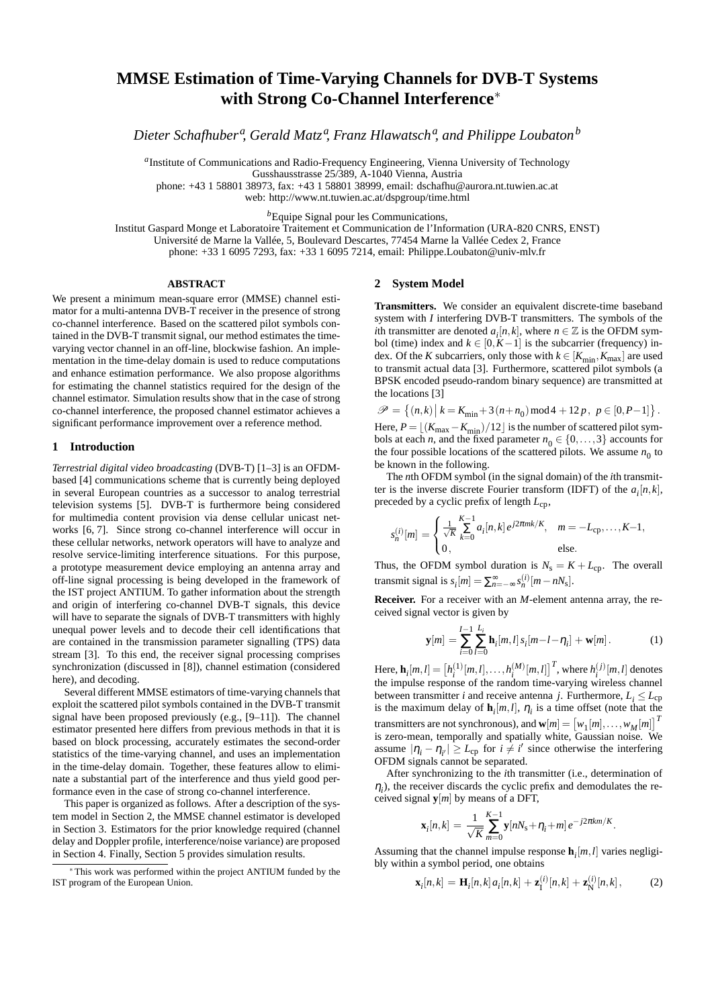# **MMSE Estimation of Time-Varying Channels for DVB-T Systems with Strong Co-Channel Interference**∗

*Dieter Schafhuber<sup>a</sup> , Gerald Matz<sup>a</sup> , Franz Hlawatsch a , and Philippe Loubaton<sup>b</sup>*

*a* Institute of Communications and Radio-Frequency Engineering, Vienna University of Technology Gusshausstrasse 25/389, A-1040 Vienna, Austria

phone: +43 1 58801 38973, fax: +43 1 58801 38999, email: dschafhu@aurora.nt.tuwien.ac.at

web: http://www.nt.tuwien.ac.at/dspgroup/time.html

*<sup>b</sup>*Equipe Signal pour les Communications,

Institut Gaspard Monge et Laboratoire Traitement et Communication de l'Information (URA-820 CNRS, ENST) Université de Marne la Vallée, 5, Boulevard Descartes, 77454 Marne la Vallée Cedex 2, France phone: +33 1 6095 7293, fax: +33 1 6095 7214, email: Philippe.Loubaton@univ-mlv.fr

## **ABSTRACT**

We present a minimum mean-square error (MMSE) channel estimator for a multi-antenna DVB-T receiver in the presence of strong co-channel interference. Based on the scattered pilot symbols contained in the DVB-T transmit signal, our method estimates the timevarying vector channel in an off-line, blockwise fashion. An implementation in the time-delay domain is used to reduce computations and enhance estimation performance. We also propose algorithms for estimating the channel statistics required for the design of the channel estimator. Simulation results show that in the case of strong co-channel interference, the proposed channel estimator achieves a significant performance improvement over a reference method.

#### **1 Introduction**

*Terrestrial digital video broadcasting* (DVB-T) [1–3] is an OFDMbased [4] communications scheme that is currently being deployed in several European countries as a successor to analog terrestrial television systems [5]. DVB-T is furthermore being considered for multimedia content provision via dense cellular unicast networks [6, 7]. Since strong co-channel interference will occur in these cellular networks, network operators will have to analyze and resolve service-limiting interference situations. For this purpose, a prototype measurement device employing an antenna array and off-line signal processing is being developed in the framework of the IST project ANTIUM. To gather information about the strength and origin of interfering co-channel DVB-T signals, this device will have to separate the signals of DVB-T transmitters with highly unequal power levels and to decode their cell identifications that are contained in the transmission parameter signalling (TPS) data stream [3]. To this end, the receiver signal processing comprises synchronization (discussed in [8]), channel estimation (considered here), and decoding.

Several different MMSE estimators of time-varying channels that exploit the scattered pilot symbols contained in the DVB-T transmit signal have been proposed previously (e.g., [9–11]). The channel estimator presented here differs from previous methods in that it is based on block processing, accurately estimates the second-order statistics of the time-varying channel, and uses an implementation in the time-delay domain. Together, these features allow to eliminate a substantial part of the interference and thus yield good performance even in the case of strong co-channel interference.

This paper is organized as follows. After a description of the system model in Section 2, the MMSE channel estimator is developed in Section 3. Estimators for the prior knowledge required (channel delay and Doppler profile, interference/noise variance) are proposed in Section 4. Finally, Section 5 provides simulation results.

### **2 System Model**

**Transmitters.** We consider an equivalent discrete-time baseband system with *I* interfering DVB-T transmitters. The symbols of the *i*th transmitter are denoted  $a_i[n, k]$ , where  $n \in \mathbb{Z}$  is the OFDM symbol (time) index and  $k \in [0, K-1]$  is the subcarrier (frequency) index. Of the *K* subcarriers, only those with  $k \in [K_{\min}, K_{\max}]$  are used to transmit actual data [3]. Furthermore, scattered pilot symbols (a BPSK encoded pseudo-random binary sequence) are transmitted at the locations [3]

 $\mathscr{P} = \{(n,k) | k = K_{\min} + 3(n+n_0) \mod 4 + 12p, p \in [0, P-1] \}.$ Here,  $P = \lfloor (K_{\text{max}} - K_{\text{min}})/12 \rfloor$  is the number of scattered pilot symbols at each *n*, and the fixed parameter  $n_0 \in \{0, ..., 3\}$  accounts for the four possible locations of the scattered pilots. We assume  $n_0$  to be known in the following.

The *n*th OFDM symbol (in the signal domain) of the *i*th transmitter is the inverse discrete Fourier transform (IDFT) of the  $a_i[n, k]$ , preceded by a cyclic prefix of length *L*cp,

$$
s_n^{(i)}[m] = \begin{cases} \frac{1}{\sqrt{K}} \sum_{k=0}^{K-1} a_i[n,k] e^{j2\pi mk/K}, & m = -L_{\text{cp}}, \dots, K-1, \\ 0, & \text{else.} \end{cases}
$$

Thus, the OFDM symbol duration is  $N_s = K + L_{cp}$ . The overall transmit signal is  $s_i[m] = \sum_{n=-\infty}^{\infty} s_n^{(i)}[m-nN_s].$ 

**Receiver.** For a receiver with an *M*-element antenna array, the received signal vector is given by

$$
\mathbf{y}[m] = \sum_{i=0}^{I-1} \sum_{l=0}^{L_i} \mathbf{h}_i[m,l] \, s_i[m-l-\eta_i] + \mathbf{w}[m]. \tag{1}
$$

Here,  $\mathbf{h}_i[m,l] = \left[ h_i^{(1)}[m,l], \ldots, h_i^{(M)}[m,l] \right]^T$ , where  $h_i^{(j)}[m,l]$  denotes the impulse response of the random time-varying wireless channel between transmitter *i* and receive antenna *j*. Furthermore,  $L_i \le L_{cp}$ is the maximum delay of  $\mathbf{h}_i[m, l]$ ,  $\eta_i$  is a time offset (note that the transmitters are not synchronous), and  $\mathbf{w}[m] = \begin{bmatrix} w_1[m], \dots, w_M[m] \end{bmatrix}^T$ is zero-mean, temporally and spatially white, Gaussian noise. We assume  $|\eta_i - \eta_{i'}| \ge L_{\rm cp}$  for  $i \ne i'$  since otherwise the interfering OFDM signals cannot be separated.

After synchronizing to the *i*th transmitter (i.e., determination of  $\eta_i$ ), the receiver discards the cyclic prefix and demodulates the received signal **y**[*m*] by means of a DFT,

$$
\mathbf{x}_i[n,k] = \frac{1}{\sqrt{K}} \sum_{m=0}^{K-1} \mathbf{y}[nN_s + \eta_i + m] e^{-j2\pi km/K}.
$$

Assuming that the channel impulse response  $\mathbf{h}_i[m, l]$  varies negligibly within a symbol period, one obtains

$$
\mathbf{x}_{i}[n,k] = \mathbf{H}_{i}[n,k] a_{i}[n,k] + \mathbf{z}_{I}^{(i)}[n,k] + \mathbf{z}_{N}^{(i)}[n,k], \qquad (2)
$$

<sup>∗</sup> This work was performed within the project ANTIUM funded by the IST program of the European Union.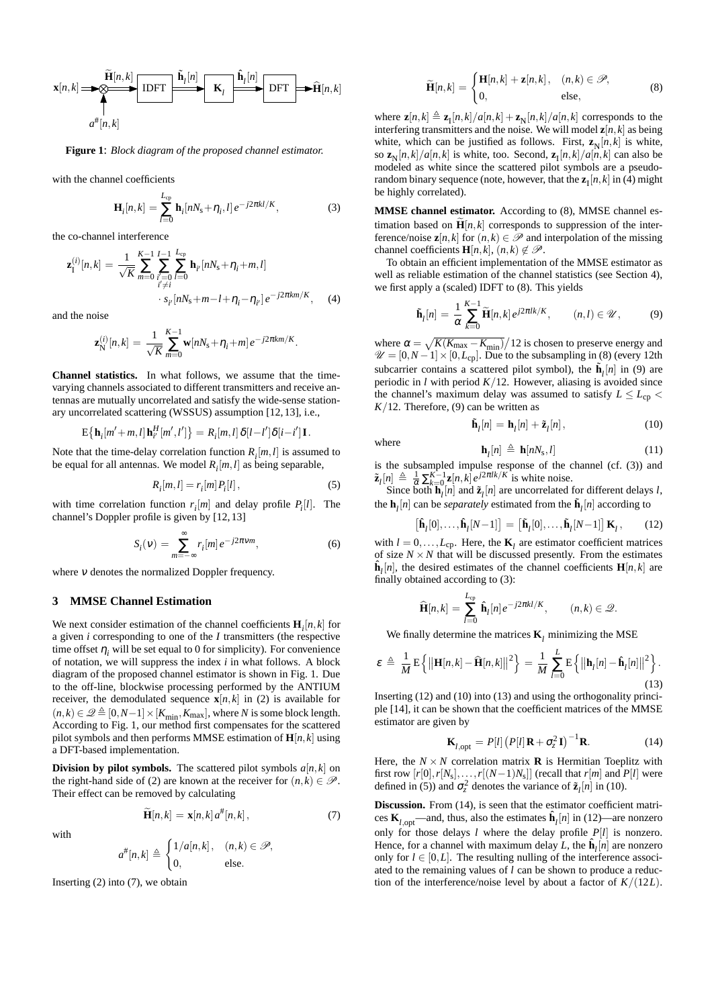$$
\mathbf{x}[n,k] \longrightarrow \bigotimes_{d} \overbrace{\mathbf{H}[n,k]}^{\widetilde{\mathbf{H}}[n,k]}\n\begin{array}{c}\n\widetilde{\mathbf{h}}_{l}[n] \\
\hline\n\end{array}\n\begin{array}{c}\n\widetilde{\mathbf{h}}_{l}[n] \\
\hline\n\end{array}\n\begin{array}{c}\n\widetilde{\mathbf{h}}_{l}[n] \\
\hline\n\end{array}\n\begin{array}{c}\n\widetilde{\mathbf{h}}_{l}[n] \\
\hline\n\end{array}\n\begin{array}{c}\n\widetilde{\mathbf{h}}_{l}[n] \\
\hline\n\end{array}\n\end{array}\n\right\}
$$

**Figure 1**: *Block diagram of the proposed channel estimator.*

with the channel coefficients

$$
\mathbf{H}_i[n,k] = \sum_{l=0}^{L_{\text{cp}}} \mathbf{h}_i[nN_s + \eta_i, l] e^{-j2\pi kl/K},\tag{3}
$$

the co-channel interference

$$
\mathbf{z}_{1}^{(i)}[n,k] = \frac{1}{\sqrt{K}} \sum_{m=0}^{K-1} \sum_{\substack{i'=0 \ i'\neq i}}^{I-1} \sum_{l=0}^{L_{cp}} \mathbf{h}_{i'}[nN_{s} + \eta_{i} + m, l]
$$
  
 
$$
s_{i'}[nN_{s} + m - l + \eta_{i} - \eta_{i'}]e^{-j2\pi km/K}, \quad (4)
$$

and the noise

$$
\mathbf{z}_N^{(i)}[n,k] = \frac{1}{\sqrt{K}} \sum_{m=0}^{K-1} \mathbf{w}[nN_s + \eta_i + m] e^{-j2\pi km/K}.
$$

**Channel statistics.** In what follows, we assume that the timevarying channels associated to different transmitters and receive antennas are mutually uncorrelated and satisfy the wide-sense stationary uncorrelated scattering (WSSUS) assumption [12, 13], i.e.,

$$
\mathrm{E}\big\{\mathbf{h}_i[m'+m,l]\mathbf{h}_{i'}^H[m',l']\big\}=R_i[m,l]\,\delta[l-l']\delta[i-l']\mathbf{I}.
$$

Note that the time-delay correlation function  $R_i[m, l]$  is assumed to be equal for all antennas. We model *R<sup>i</sup>* [*m*,*l*] as being separable,

$$
R_i[m,l] = r_i[m] P_i[l], \qquad (5)
$$

with time correlation function  $r_i[m]$  and delay profile  $P_i[l]$ . The channel's Doppler profile is given by [12, 13]

$$
S_i(v) = \sum_{m = -\infty}^{\infty} r_i[m] e^{-j2\pi vw},
$$
\n(6)

where <sup>ν</sup> denotes the normalized Doppler frequency.

# **3 MMSE Channel Estimation**

We next consider estimation of the channel coefficients  $\mathbf{H}_i[n, k]$  for a given *i* corresponding to one of the *I* transmitters (the respective time offset  $\eta_i$  will be set equal to 0 for simplicity). For convenience of notation, we will suppress the index *i* in what follows. A block diagram of the proposed channel estimator is shown in Fig. 1. Due to the off-line, blockwise processing performed by the ANTIUM receiver, the demodulated sequence  $\mathbf{x}[n, k]$  in (2) is available for  $(n, k) \in \mathcal{Q} \triangleq [0, N-1] \times [K_{\min}, K_{\max}]$ , where *N* is some block length. According to Fig. 1, our method first compensates for the scattered pilot symbols and then performs MMSE estimation of  $\mathbf{H}[n, k]$  using a DFT-based implementation.

**Division** by **pilot symbols.** The scattered pilot symbols  $a[n, k]$  on the right-hand side of (2) are known at the receiver for  $(n, k) \in \mathcal{P}$ . Their effect can be removed by calculating

$$
\widetilde{\mathbf{H}}[n,k] = \mathbf{x}[n,k] \, a^{\#}[n,k],\tag{7}
$$

with

$$
a^{\#}[n,k]\triangleq\begin{cases}1/a[n,k]\,, & (n,k)\in\mathscr{P},\\ 0, & \text{else.}\end{cases}
$$

Inserting (2) into (7), we obtain

$$
\widetilde{\mathbf{H}}[n,k] = \begin{cases} \mathbf{H}[n,k] + \mathbf{z}[n,k], & (n,k) \in \mathcal{P}, \\ 0, & \text{else,} \end{cases}
$$
(8)

where  $\mathbf{z}[n,k] \triangleq \mathbf{z}_{\text{I}}[n,k]/a[n,k] + \mathbf{z}_{\text{N}}[n,k]/a[n,k]$  corresponds to the interfering transmitters and the noise. We will model  $z[n, k]$  as being white, which can be justified as follows. First,  $\mathbf{z}_N[n, k]$  is white, so  $\mathbf{z}_N[n,k]/a[n,k]$  is white, too. Second,  $\mathbf{z}_I[n,k]/a[n,k]$  can also be modeled as white since the scattered pilot symbols are a pseudorandom binary sequence (note, however, that the  $z_{\text{I}}[n,k]$  in (4) might be highly correlated).

**MMSE channel estimator.** According to (8), MMSE channel estimation based on  $\mathbf{H}[n, k]$  corresponds to suppression of the interference/noise  $\mathbf{z}[n, k]$  for  $(n, k) \in \mathcal{P}$  and interpolation of the missing channel coefficients **H**[ $n, k$ ],  $(n, k) \notin \mathcal{P}$ .

To obtain an efficient implementation of the MMSE estimator as well as reliable estimation of the channel statistics (see Section 4), we first apply a (scaled) IDFT to (8). This yields

$$
\tilde{\mathbf{h}}_l[n] = \frac{1}{\alpha} \sum_{k=0}^{K-1} \tilde{\mathbf{H}}[n,k] e^{j2\pi lk/K}, \qquad (n,l) \in \mathcal{U}, \qquad (9)
$$

where  $\alpha = \sqrt{K(K_{\text{max}} - K_{\text{min}})}/12$  is chosen to preserve energy and  $\mathscr{U} = [0, N-1] \times [0, L_{cp}]$ . Due to the subsampling in (8) (every 12th subcarrier contains a scattered pilot symbol), the  $\tilde{\mathbf{h}}_l[n]$  in (9) are periodic in  $l$  with period  $K/12$ . However, aliasing is avoided since the channel's maximum delay was assumed to satisfy  $L \le L_{cp}$  $K/12$ . Therefore, (9) can be written as

$$
\tilde{\mathbf{h}}_l[n] = \mathbf{h}_l[n] + \tilde{\mathbf{z}}_l[n],\tag{10}
$$

 $(11)$ 

where

 $\mathbf{h}_l[n] \triangleq \mathbf{h}[nN_s]$ is the subsampled impulse response of the channel (cf. (3)) and  $\tilde{\mathbf{z}}_l[n] \triangleq \frac{1}{\alpha} \sum_{k=0}^{K-1} \mathbf{z}[n,k] e^{j2\pi lk/K}$  is white noise.

Since both  $\mathbf{h}_l[n]$  and  $\tilde{\mathbf{z}}_l[n]$  are uncorrelated for different delays *l*, the  $\mathbf{h}_l[n]$  can be *separately* estimated from the  $\tilde{\mathbf{h}}_l[n]$  according to

$$
\left[\mathbf{\hat{h}}_l[0],\ldots,\mathbf{\hat{h}}_l[N-1]\right] = \left[\mathbf{\tilde{h}}_l[0],\ldots,\mathbf{\tilde{h}}_l[N-1]\right]\mathbf{K}_l, \qquad (12)
$$

with  $l = 0, \ldots, L_{cp}$ . Here, the **K**<sub>*l*</sub> are estimator coefficient matrices of size  $N \times N$  that will be discussed presently. From the estimates  $\hat{\mathbf{h}}_l[n]$ , the desired estimates of the channel coefficients  $\mathbf{H}[n, k]$  are finally obtained according to (3):

$$
\widehat{\mathbf{H}}[n,k] = \sum_{l=0}^{L_{\text{cp}}} \widehat{\mathbf{h}}_l[n] e^{-j2\pi kl/K}, \qquad (n,k) \in \mathcal{Q}.
$$

We finally determine the matrices  $\mathbf{K}_l$  minimizing the MSE

$$
\varepsilon \triangleq \frac{1}{M} \mathbf{E} \left\{ \left\| \mathbf{H}[n,k] - \widehat{\mathbf{H}}[n,k] \right\|^2 \right\} = \frac{1}{M} \sum_{l=0}^{L} \mathbf{E} \left\{ \left\| \mathbf{h}_l[n] - \widehat{\mathbf{h}}_l[n] \right\|^2 \right\}.
$$
\n(13)

Inserting (12) and (10) into (13) and using the orthogonality principle [14], it can be shown that the coefficient matrices of the MMSE estimator are given by

$$
\mathbf{K}_{l,\text{opt}} = P[l] \left( P[l] \mathbf{R} + \sigma_z^2 \mathbf{I} \right)^{-1} \mathbf{R}.
$$
 (14)

Here, the  $N \times N$  correlation matrix **R** is Hermitian Toeplitz with first row  $[r[0], r[N_s], \ldots, r[(N-1)N_s]]$  (recall that  $r[m]$  and  $P[l]$  were defined in (5)) and  $\sigma_z^2$  denotes the variance of  $\tilde{\mathbf{z}}_l[n]$  in (10).

**Discussion.** From (14), is seen that the estimator coefficient matrices  $\mathbf{K}_{l,\text{opt}}$ —and, thus, also the estimates  $\hat{\mathbf{h}}_l[n]$  in (12)—are nonzero only for those delays *l* where the delay profile  $P[l]$  is nonzero. Hence, for a channel with maximum delay *L*, the  $\hat{\mathbf{h}}_i[n]$  are nonzero only for  $l \in [0, L]$ . The resulting nulling of the interference associated to the remaining values of *l* can be shown to produce a reduction of the interference/noise level by about a factor of *K*/(12*L*).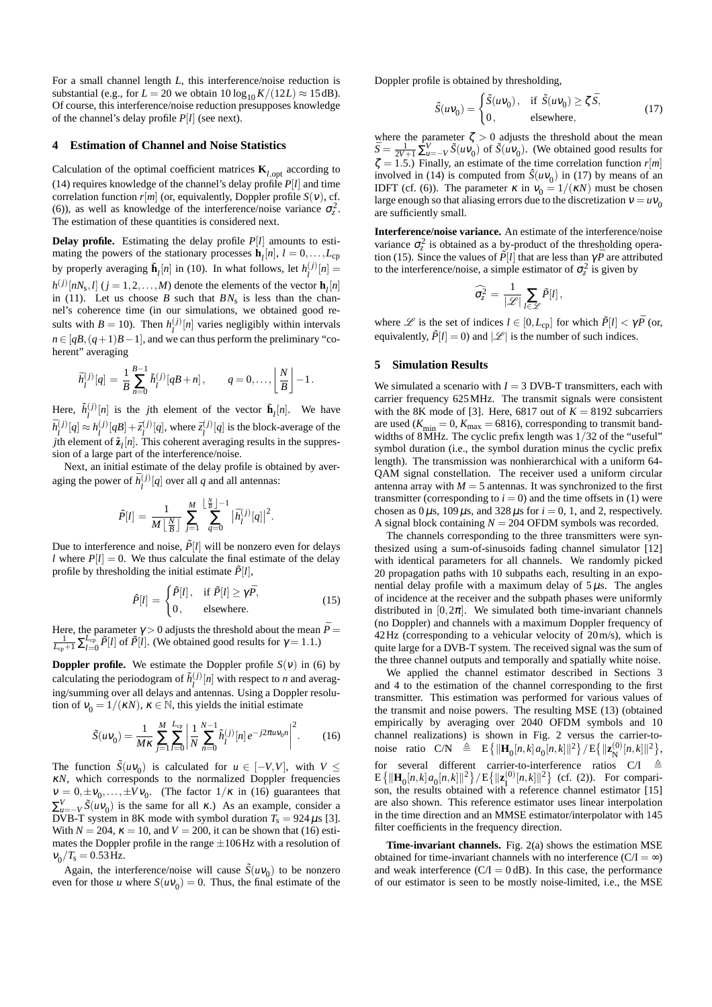For a small channel length *L*, this interference/noise reduction is substantial (e.g., for  $L = 20$  we obtain  $10 \log_{10} K / (12L) \approx 15 \text{ dB}$ ). Of course, this interference/noise reduction presupposes knowledge of the channel's delay profile *P*[*l*] (see next).

# **4 Estimation of Channel and Noise Statistics**

Calculation of the optimal coefficient matrices  $\mathbf{K}_{l,\text{opt}}$  according to (14) requires knowledge of the channel's delay profile *P*[*l*] and time correlation function  $r[m]$  (or, equivalently, Doppler profile  $S(v)$ , cf. (6)), as well as knowledge of the interference/noise variance  $\sigma_z^2$ . The estimation of these quantities is considered next.

**Delay profile.** Estimating the delay profile *P*[*l*] amounts to estimating the powers of the stationary processes  $\mathbf{h}_{l}[n]$ ,  $l = 0, \ldots, L_{cp}$ by properly averaging  $\tilde{\mathbf{h}}_l[n]$  in (10). In what follows, let  $h_l^{(j)}[n] =$  $h^{(j)}[nN_s, l]$  ( $j = 1, 2, ..., M$ ) denote the elements of the vector **h**<sub>*l*</sub> $[n]$ in (11). Let us choose  $B$  such that  $BN<sub>s</sub>$  is less than the channel's coherence time (in our simulations, we obtained good results with  $B = 10$ ). Then  $h_l^{(j)}[n]$  varies negligibly within intervals  $n \in [qB, (q+1)B-1]$ , and we can thus perform the preliminary "coherent" averaging

$$
\bar{h}_l^{(j)}[q] = \frac{1}{B} \sum_{n=0}^{B-1} \tilde{h}_l^{(j)}[qB+n], \qquad q = 0, \dots, \left\lfloor \frac{N}{B} \right\rfloor - 1.
$$

Here,  $\tilde{h}^{(j)}_{l}[n]$  is the *j*th element of the vector  $\tilde{\mathbf{h}}_{l}[n]$ . We have  $\bar{h}^{(j)}_l[q] \approx h^{(j)}_l[qB] + \bar{z}^{(j)}_l[q]$ , where  $\bar{z}^{(j)}_l[q]$  is the block-average of the *j*th element of  $\tilde{\mathbf{z}}_l[n]$ . This coherent averaging results in the suppression of a large part of the interference/noise.

Next, an initial estimate of the delay profile is obtained by averaging the power of  $\bar{h}^{(j)}_l[q]$  over all *q* and all antennas:

$$
\tilde{P}[l] = \frac{1}{M \left\lfloor \frac{N}{B} \right\rfloor} \sum_{j=1}^{M} \sum_{q=0}^{\left\lfloor \frac{N}{B} \right\rfloor - 1} |\bar{h}_l^{(j)}[q]|^2.
$$

Due to interference and noise,  $\tilde{P}[l]$  will be nonzero even for delays *l* where  $P[l] = 0$ . We thus calculate the final estimate of the delay profile by thresholding the initial estimate  $\tilde{P}[l]$ ,

$$
\hat{P}[l] = \begin{cases}\n\tilde{P}[l], & \text{if } \tilde{P}[l] \ge \gamma \bar{P}, \\
0, & \text{elsewhere.} \n\end{cases}
$$
\n(15)

Here, the parameter  $\gamma > 0$  adjusts the threshold about the mean  $P =$  $\frac{1}{L_{cp}+1} \sum_{l=0}^{L_{cp}} \tilde{P}[l]$  of  $\tilde{P}[l]$ . (We obtained good results for  $\gamma = 1.1$ .)

**Doppler profile.** We estimate the Doppler profile  $S(v)$  in (6) by calculating the periodogram of  $\tilde{h}^{(j)}_l[n]$  with respect to *n* and averaging/summing over all delays and antennas. Using a Doppler resolution of  $v_0 = 1/(\kappa N)$ ,  $\kappa \in \mathbb{N}$ , this yields the initial estimate

$$
\tilde{S}(uv_0) = \frac{1}{M\kappa} \sum_{j=1}^{M} \sum_{l=0}^{L_{cp}} \left| \frac{1}{N} \sum_{n=0}^{N-1} \tilde{h}_l^{(j)}[n] e^{-j2\pi uv_0 n} \right|^2.
$$
 (16)

The function  $\tilde{S}(uv_0)$  is calculated for  $u \in [-V, V]$ , with  $V \leq$ <sup>κ</sup>*N*, which corresponds to the normalized Doppler frequencies  $v = 0, \pm v_0, \dots, \pm Vv_0$ . (The factor  $1/\kappa$  in (16) guarantees that ∑  $V = -V \tilde{S}(uv_0)$  is the same for all  $\kappa$ .) As an example, consider a DVB-T system in 8K mode with symbol duration  $T_s = 924 \,\mu s$  [3]. With  $N = 204$ ,  $\kappa = 10$ , and  $V = 200$ , it can be shown that (16) estimates the Doppler profile in the range  $\pm 106$  Hz with a resolution of  $v_0/T_s = 0.53$  Hz.

Again, the interference/noise will cause  $\tilde{S}(uv_0)$  to be nonzero even for those *u* where  $S(uv_0) = 0$ . Thus, the final estimate of the Doppler profile is obtained by thresholding,

$$
\hat{S}(uv_0) = \begin{cases} \tilde{S}(uv_0), & \text{if } \tilde{S}(uv_0) \ge \zeta \, \bar{S}, \\ 0, & \text{elsewhere,} \end{cases}
$$
\n(17)

where the parameter  $\zeta > 0$  adjusts the threshold about the mean  $\bar{S} = \frac{1}{2V+1} \sum_{u=-V}^{V} \bar{S}(uv_0)$  of  $\tilde{S}(uv_0)$ . (We obtained good results for  $\zeta = 1.5$ .) Finally, an estimate of the time correlation function  $r[m]$ involved in (14) is computed from  $\hat{S}(uv_0)$  in (17) by means of an IDFT (cf. (6)). The parameter  $\kappa$  in  $v_0 = 1/(\kappa N)$  must be chosen large enough so that aliasing errors due to the discretization  $v = uv_0$ are sufficiently small.

**Interference/noise variance.** An estimate of the interference/noise variance  $\sigma_z^2$  is obtained as a by-product of the thresholding operation (15). Since the values of  $\tilde{P}[l]$  that are less than  $\gamma \bar{P}$  are attributed to the interference/noise, a simple estimator of  $\sigma_z^2$  is given by

$$
\widehat{\sigma_z^2} = \frac{1}{|\mathscr{L}|} \sum_{l \in \mathscr{L}} \tilde{P}[l],
$$

where  $\mathscr L$  is the set of indices  $l \in [0, L_{cp}]$  for which  $\tilde P[l] < \gamma \bar P$  (or, equivalently,  $\hat{P}[l] = 0$  and  $|\mathcal{L}|$  is the number of such indices.

# **5 Simulation Results**

We simulated a scenario with  $I = 3$  DVB-T transmitters, each with carrier frequency 625MHz. The transmit signals were consistent with the 8K mode of [3]. Here, 6817 out of  $K = 8192$  subcarriers are used  $(K_{\text{min}} = 0, K_{\text{max}} = 6816)$ , corresponding to transmit bandwidths of 8MHz. The cyclic prefix length was 1/32 of the "useful" symbol duration (i.e., the symbol duration minus the cyclic prefix length). The transmission was nonhierarchical with a uniform 64- QAM signal constellation. The receiver used a uniform circular antenna array with  $M = 5$  antennas. It was synchronized to the first transmitter (corresponding to  $i = 0$ ) and the time offsets in (1) were chosen as  $0 \mu s$ , 109  $\mu s$ , and 328  $\mu s$  for  $i = 0, 1$ , and 2, respectively. A signal block containing *N* = 204 OFDM symbols was recorded.

The channels corresponding to the three transmitters were synthesized using a sum-of-sinusoids fading channel simulator [12] with identical parameters for all channels. We randomly picked 20 propagation paths with 10 subpaths each, resulting in an exponential delay profile with a maximum delay of  $5 \mu s$ . The angles of incidence at the receiver and the subpath phases were uniformly distributed in  $[0,2\pi]$ . We simulated both time-invariant channels (no Doppler) and channels with a maximum Doppler frequency of 42Hz (corresponding to a vehicular velocity of 20m/s), which is quite large for a DVB-T system. The received signal was the sum of the three channel outputs and temporally and spatially white noise.

We applied the channel estimator described in Sections 3 and 4 to the estimation of the channel corresponding to the first transmitter. This estimation was performed for various values of the transmit and noise powers. The resulting MSE (13) (obtained empirically by averaging over 2040 OFDM symbols and 10 channel realizations) is shown in Fig. 2 versus the carrier-tonoise ratio  $C/N \triangleq E\{ ||\mathbf{H}_0[n, k] a_0[n, k]||^2 \} / E\{ ||\mathbf{z}_N^{(0)}[n, k]||^2 \},$ for several different carrier-to-interference ratios  $C/I \cong$  $E\{\|\mathbf{H}_{0}[n,k]a_{0}[n,k]\|^{2}\}/E\{\|\mathbf{z}_{1}^{(0)}[n,k]\|^{2}\}$  (cf. (2)). For comparison, the results obtained with a reference channel estimator [15] are also shown. This reference estimator uses linear interpolation in the time direction and an MMSE estimator/interpolator with 145 filter coefficients in the frequency direction.

**Time-invariant channels.** Fig. 2(a) shows the estimation MSE obtained for time-invariant channels with no interference  $(C/I = \infty)$ and weak interference  $(C/I = 0$  dB). In this case, the performance of our estimator is seen to be mostly noise-limited, i.e., the MSE